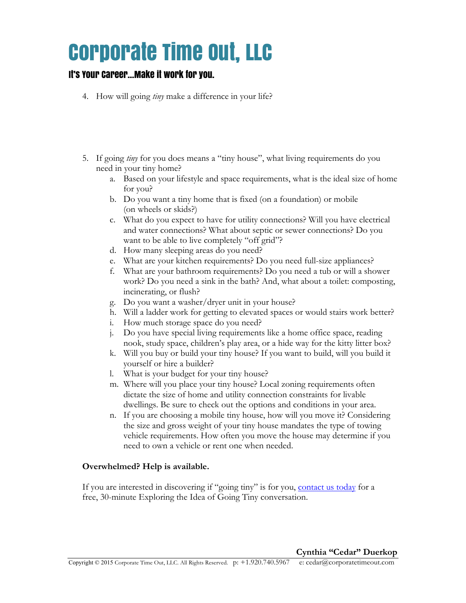## Corporate Time Out, LLC

### It's Your Career…Make it work for you.

- 4. How will going *tiny* make a difference in your life?
- 5. If going *tiny* for you does means a "tiny house", what living requirements do you need in your tiny home?
	- a. Based on your lifestyle and space requirements, what is the ideal size of home for you?
	- b. Do you want a tiny home that is fixed (on a foundation) or mobile (on wheels or skids?)
	- c. What do you expect to have for utility connections? Will you have electrical and water connections? What about septic or sewer connections? Do you want to be able to live completely "off grid"?
	- d. How many sleeping areas do you need?
	- e. What are your kitchen requirements? Do you need full-size appliances?
	- f. What are your bathroom requirements? Do you need a tub or will a shower work? Do you need a sink in the bath? And, what about a toilet: composting, incinerating, or flush?
	- g. Do you want a washer/dryer unit in your house?
	- h. Will a ladder work for getting to elevated spaces or would stairs work better?
	- i. How much storage space do you need?
	- j. Do you have special living requirements like a home office space, reading nook, study space, children's play area, or a hide way for the kitty litter box?
	- k. Will you buy or build your tiny house? If you want to build, will you build it yourself or hire a builder?
	- l. What is your budget for your tiny house?
	- m. Where will you place your tiny house? Local zoning requirements often dictate the size of home and utility connection constraints for livable dwellings. Be sure to check out the options and conditions in your area.
	- n. If you are choosing a mobile tiny house, how will you move it? Considering the size and gross weight of your tiny house mandates the type of towing vehicle requirements. How often you move the house may determine if you need to own a vehicle or rent one when needed.

### **Overwhelmed? Help is available.**

If you are interested in discovering if "going tiny" is for you, contact us today for a free, 30-minute Exploring the Idea of Going Tiny conversation.